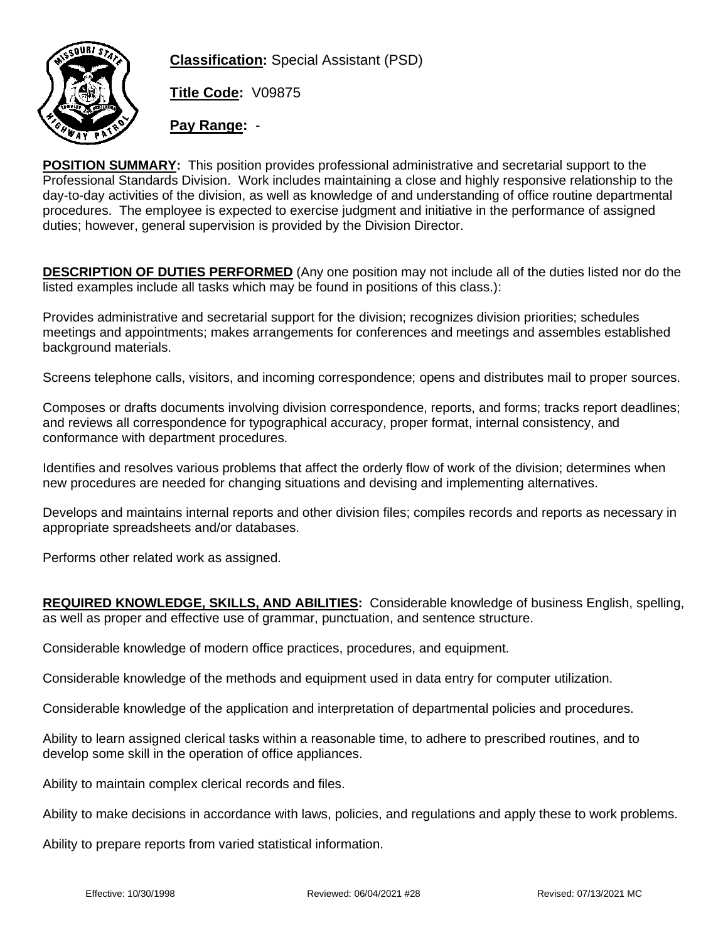

**Classification:** Special Assistant (PSD)

**Title Code:** V09875

**Pay Range:** -

**POSITION SUMMARY:** This position provides professional administrative and secretarial support to the Professional Standards Division. Work includes maintaining a close and highly responsive relationship to the day-to-day activities of the division, as well as knowledge of and understanding of office routine departmental procedures. The employee is expected to exercise judgment and initiative in the performance of assigned duties; however, general supervision is provided by the Division Director.

**DESCRIPTION OF DUTIES PERFORMED** (Any one position may not include all of the duties listed nor do the listed examples include all tasks which may be found in positions of this class.):

Provides administrative and secretarial support for the division; recognizes division priorities; schedules meetings and appointments; makes arrangements for conferences and meetings and assembles established background materials.

Screens telephone calls, visitors, and incoming correspondence; opens and distributes mail to proper sources.

Composes or drafts documents involving division correspondence, reports, and forms; tracks report deadlines; and reviews all correspondence for typographical accuracy, proper format, internal consistency, and conformance with department procedures.

Identifies and resolves various problems that affect the orderly flow of work of the division; determines when new procedures are needed for changing situations and devising and implementing alternatives.

Develops and maintains internal reports and other division files; compiles records and reports as necessary in appropriate spreadsheets and/or databases.

Performs other related work as assigned.

**REQUIRED KNOWLEDGE, SKILLS, AND ABILITIES:** Considerable knowledge of business English, spelling, as well as proper and effective use of grammar, punctuation, and sentence structure.

Considerable knowledge of modern office practices, procedures, and equipment.

Considerable knowledge of the methods and equipment used in data entry for computer utilization.

Considerable knowledge of the application and interpretation of departmental policies and procedures.

Ability to learn assigned clerical tasks within a reasonable time, to adhere to prescribed routines, and to develop some skill in the operation of office appliances.

Ability to maintain complex clerical records and files.

Ability to make decisions in accordance with laws, policies, and regulations and apply these to work problems.

Ability to prepare reports from varied statistical information.